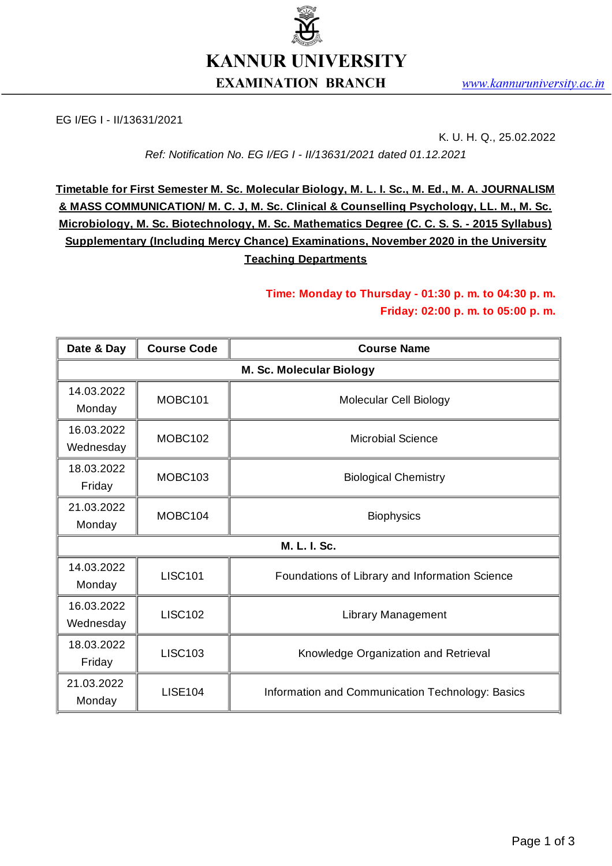

EG I/EG I - II/13631/2021

K. U. H. Q., 25.02.2022

*Ref: Notification No. EG I/EG I - II/13631/2021 dated 01.12.2021*

**Timetable for First Semester M. Sc. Molecular Biology, M. L. I. Sc., M. Ed., M. A. JOURNALISM & MASS COMMUNICATION/ M. C. J, M. Sc. Clinical & Counselling Psychology, LL. M., M. Sc. Microbiology, M. Sc. Biotechnology, M. Sc. Mathematics Degree (C. C. S. S. - 2015 Syllabus) Supplementary (Including Mercy Chance) Examinations, November 2020 in the University Teaching Departments**

## **Time: Monday to Thursday - 01:30 p. m. to 04:30 p. m. Friday: 02:00 p. m. to 05:00 p. m.**

| Date & Day               | <b>Course Code</b> | <b>Course Name</b>                               |  |
|--------------------------|--------------------|--------------------------------------------------|--|
| M. Sc. Molecular Biology |                    |                                                  |  |
| 14.03.2022<br>Monday     | MOBC101            | Molecular Cell Biology                           |  |
| 16.03.2022<br>Wednesday  | MOBC102            | <b>Microbial Science</b>                         |  |
| 18.03.2022<br>Friday     | MOBC103            | <b>Biological Chemistry</b>                      |  |
| 21.03.2022<br>Monday     | MOBC104            | <b>Biophysics</b>                                |  |
| M. L. I. Sc.             |                    |                                                  |  |
| 14.03.2022<br>Monday     | <b>LISC101</b>     | Foundations of Library and Information Science   |  |
| 16.03.2022<br>Wednesday  | <b>LISC102</b>     | <b>Library Management</b>                        |  |
| 18.03.2022<br>Friday     | <b>LISC103</b>     | Knowledge Organization and Retrieval             |  |
| 21.03.2022<br>Monday     | <b>LISE104</b>     | Information and Communication Technology: Basics |  |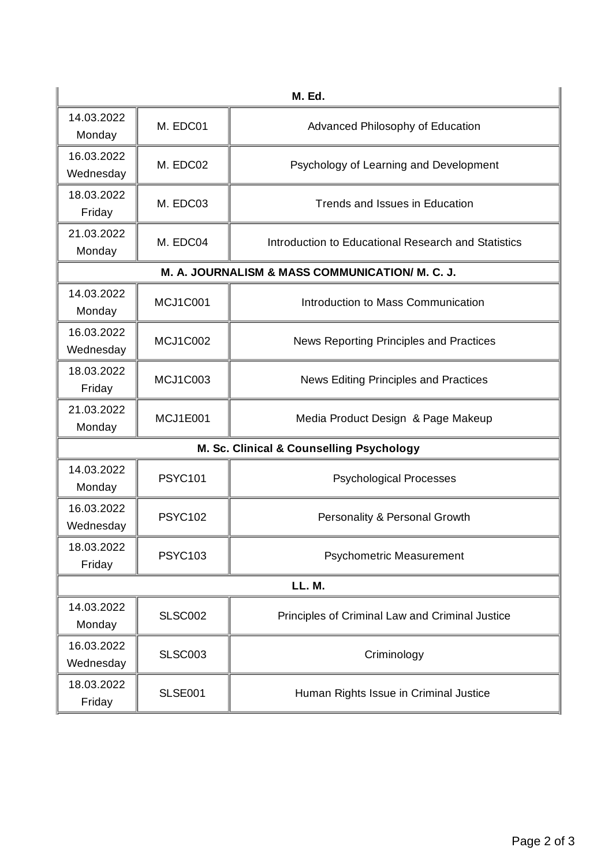| <b>M. Ed.</b>                                   |                |                                                     |  |  |
|-------------------------------------------------|----------------|-----------------------------------------------------|--|--|
| 14.03.2022<br>Monday                            | M. EDC01       | Advanced Philosophy of Education                    |  |  |
| 16.03.2022<br>Wednesday                         | M. EDC02       | Psychology of Learning and Development              |  |  |
| 18.03.2022<br>Friday                            | M. EDC03       | Trends and Issues in Education                      |  |  |
| 21.03.2022<br>Monday                            | M. EDC04       | Introduction to Educational Research and Statistics |  |  |
| M. A. JOURNALISM & MASS COMMUNICATION/ M. C. J. |                |                                                     |  |  |
| 14.03.2022<br>Monday                            | MCJ1C001       | Introduction to Mass Communication                  |  |  |
| 16.03.2022<br>Wednesday                         | MCJ1C002       | News Reporting Principles and Practices             |  |  |
| 18.03.2022<br>Friday                            | MCJ1C003       | News Editing Principles and Practices               |  |  |
| 21.03.2022<br>Monday                            | MCJ1E001       | Media Product Design & Page Makeup                  |  |  |
| M. Sc. Clinical & Counselling Psychology        |                |                                                     |  |  |
| 14.03.2022<br>Monday                            | <b>PSYC101</b> | <b>Psychological Processes</b>                      |  |  |
| 16.03.2022<br>Wednesday                         | <b>PSYC102</b> | Personality & Personal Growth                       |  |  |
| 18.03.2022<br>Friday                            | <b>PSYC103</b> | <b>Psychometric Measurement</b>                     |  |  |
| LL. M.                                          |                |                                                     |  |  |
| 14.03.2022<br>Monday                            | <b>SLSC002</b> | Principles of Criminal Law and Criminal Justice     |  |  |
| 16.03.2022<br>Wednesday                         | <b>SLSC003</b> | Criminology                                         |  |  |
| 18.03.2022<br>Friday                            | <b>SLSE001</b> | Human Rights Issue in Criminal Justice              |  |  |